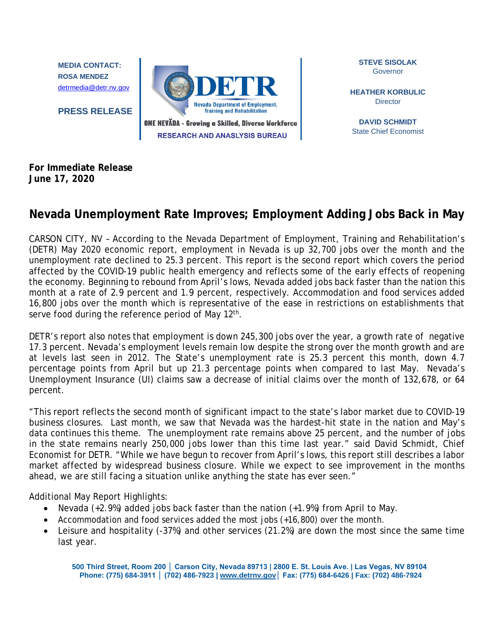**MEDIA CONTACT: ROSA MENDEZ** [detrmedia@detr.nv.gov](about:blank)

**PRESS RELEASE**



**STEVE SISOLAK** Governor

**HEATHER KORBULIC Director** 

**DAVID SCHMIDT** State Chief Economist

**For Immediate Release June 17, 2020**

## **Nevada Unemployment Rate Improves; Employment Adding Jobs Back in May**

CARSON CITY, NV – According to the Nevada Department of Employment, Training and Rehabilitation's (DETR) May 2020 economic report, employment in Nevada is up 32,700 jobs over the month and the unemployment rate declined to 25.3 percent. This report is the second report which covers the period affected by the COVID-19 public health emergency and reflects some of the early effects of reopening the economy. Beginning to rebound from April's lows, Nevada added jobs back faster than the nation this month at a rate of 2.9 percent and 1.9 percent, respectively. Accommodation and food services added 16,800 jobs over the month which is representative of the ease in restrictions on establishments that serve food during the reference period of May 12<sup>th</sup>.

DETR's report also notes that employment is down 245,300 jobs over the year, a growth rate of negative 17.3 percent. Nevada's employment levels remain low despite the strong over the month growth and are at levels last seen in 2012. The State's unemployment rate is 25.3 percent this month, down 4.7 percentage points from April but up 21.3 percentage points when compared to last May. Nevada's Unemployment Insurance (UI) claims saw a decrease of initial claims over the month of 132,678, or 64 percent.

"This report reflects the second month of significant impact to the state's labor market due to COVID-19 business closures. Last month, we saw that Nevada was the hardest-hit state in the nation and May's data continues this theme. The unemployment rate remains above 25 percent, and the number of jobs in the state remains nearly 250,000 jobs lower than this time last year." said David Schmidt, Chief Economist for DETR. "While we have begun to recover from April's lows, this report still describes a labor market affected by widespread business closure. While we expect to see improvement in the months ahead, we are still facing a situation unlike anything the state has ever seen."

Additional May Report Highlights:

- Nevada (+2.9%) added jobs back faster than the nation (+1.9%) from April to May.
- Accommodation and food services added the most jobs (+16,800) over the month.
- Leisure and hospitality (-37%) and other services (21.2%) are down the most since the same time last year.